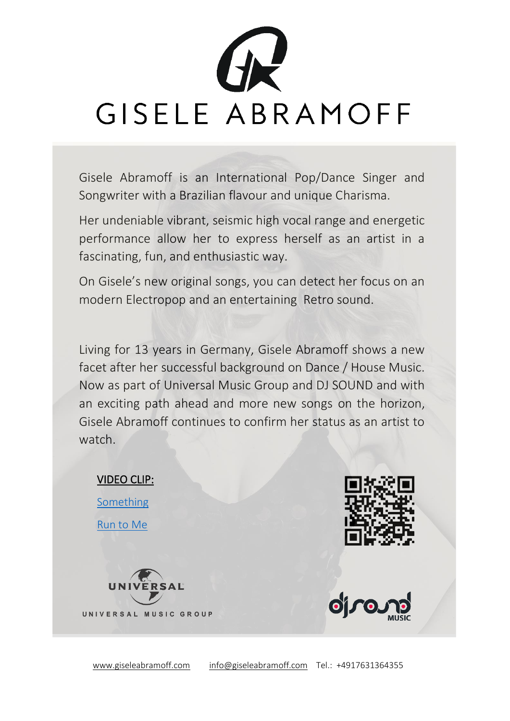

Gisele Abramoff is an International Pop/Dance Singer and Songwriter with a Brazilian flavour and unique Charisma.

Her undeniable vibrant, seismic high vocal range and energetic performance allow her to express herself as an artist in a fascinating, fun, and enthusiastic way.

On Gisele's new original songs, you can detect her focus on an modern Electropop and an entertaining Retro sound.

Living for 13 years in Germany, Gisele Abramoff shows a new facet after her successful background on Dance / House Music. Now as part of Universal Music Group and DJ SOUND and with an exciting path ahead and more new songs on the horizon, Gisele Abramoff continues to confirm her status as an artist to watch.

## VIDEO CLIP:

**[Something](https://youtu.be/qei0jJrwyNo)** [Run to Me](https://youtu.be/Fr3F0i8ysh0)







[www.giseleabramoff.com](http://www.giseleabramoff.com/) [info@giseleabramoff.com](mailto:info@giseleabramoff.com) Tel.: +4917631364355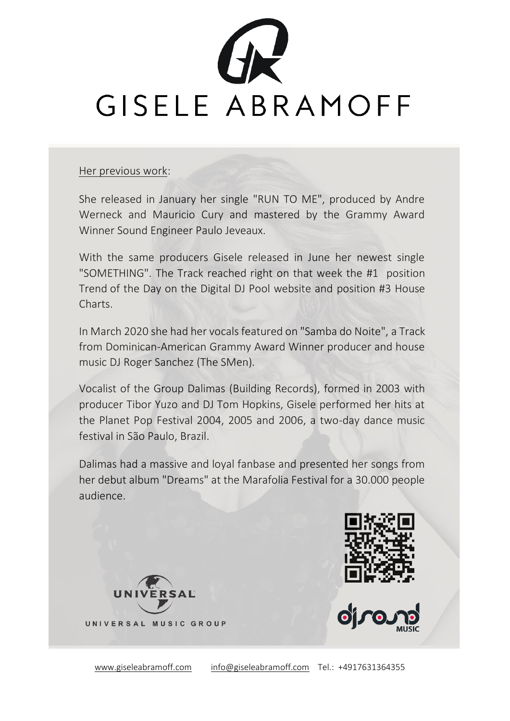

## Her previous work:

She released in January her single "RUN TO ME", produced by Andre Werneck and Mauricio Cury and mastered by the Grammy Award Winner Sound Engineer Paulo Jeveaux.

With the same producers Gisele released in June her newest single "SOMETHING". The Track reached right on that week the #1 position Trend of the Day on the Digital DJ Pool website and position #3 House Charts.

In March 2020 she had her vocals featured on "Samba do Noite", a Track from Dominican-American Grammy Award Winner producer and house music DJ Roger Sanchez (The SMen).

Vocalist of the Group Dalimas (Building Records), formed in 2003 with producer Tibor Yuzo and DJ Tom Hopkins, Gisele performed her hits at the Planet Pop Festival 2004, 2005 and 2006, a two-day dance music festival in São Paulo, Brazil.

Dalimas had a massive and loyal fanbase and presented her songs from her debut album "Dreams" at the Marafolia Festival for a 30.000 people audience.





[www.giseleabramoff.com](http://www.giseleabramoff.com/) [info@giseleabramoff.com](mailto:info@giseleabramoff.com) Tel.: +4917631364355